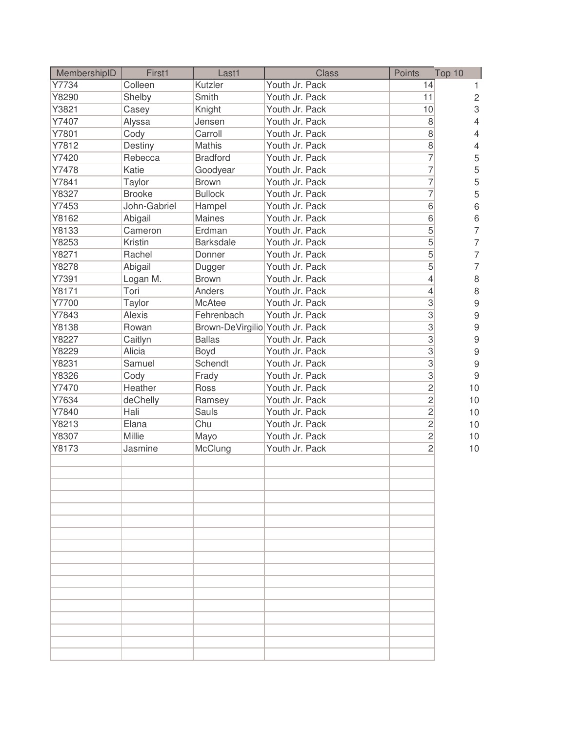| MembershipID | First1        | Last1                           | <b>Class</b>   | Points         | Top 10                    |
|--------------|---------------|---------------------------------|----------------|----------------|---------------------------|
| Y7734        | Colleen       | Kutzler                         | Youth Jr. Pack | 14             | 1.                        |
| Y8290        | Shelby        | Smith                           | Youth Jr. Pack | 11             | $\mathbf{2}$              |
| Y3821        | Casey         | Knight                          | Youth Jr. Pack | 10             | $\ensuremath{\mathsf{3}}$ |
| Y7407        | Alyssa        | Jensen                          | Youth Jr. Pack | 8              | $\overline{4}$            |
| Y7801        | Cody          | Carroll                         | Youth Jr. Pack | 8              | $\overline{4}$            |
| Y7812        | Destiny       | <b>Mathis</b>                   | Youth Jr. Pack | $\,8\,$        | $\overline{4}$            |
| Y7420        | Rebecca       | <b>Bradford</b>                 | Youth Jr. Pack | 7              | 5                         |
| Y7478        | Katie         | Goodyear                        | Youth Jr. Pack | $\overline{7}$ | 5                         |
| Y7841        | Taylor        | <b>Brown</b>                    | Youth Jr. Pack | $\overline{7}$ | 5                         |
| Y8327        | <b>Brooke</b> | <b>Bullock</b>                  | Youth Jr. Pack | $\overline{7}$ | 5                         |
| Y7453        | John-Gabriel  | Hampel                          | Youth Jr. Pack | 6              | 6                         |
| Y8162        | Abigail       | <b>Maines</b>                   | Youth Jr. Pack | $\overline{6}$ | 6                         |
| Y8133        | Cameron       | Erdman                          | Youth Jr. Pack | 5              | $\overline{7}$            |
| Y8253        | Kristin       | <b>Barksdale</b>                | Youth Jr. Pack | $\overline{5}$ | $\overline{7}$            |
| Y8271        | Rachel        | Donner                          | Youth Jr. Pack | 5              | $\overline{7}$            |
| Y8278        | Abigail       | Dugger                          | Youth Jr. Pack | 5              | $\overline{7}$            |
| Y7391        | Logan M.      | <b>Brown</b>                    | Youth Jr. Pack | 4              | 8                         |
| Y8171        | Tori          | Anders                          | Youth Jr. Pack | 4              | 8                         |
| Y7700        | Taylor        | <b>McAtee</b>                   | Youth Jr. Pack | $\overline{3}$ | 9                         |
| Y7843        | Alexis        | Fehrenbach                      | Youth Jr. Pack | $\overline{3}$ | 9                         |
| Y8138        | Rowan         | Brown-DeVirgilio Youth Jr. Pack |                | $\overline{3}$ | 9                         |
| Y8227        | Caitlyn       | <b>Ballas</b>                   | Youth Jr. Pack | $\overline{3}$ | 9                         |
| Y8229        | Alicia        | Boyd                            | Youth Jr. Pack | $\overline{3}$ | 9                         |
| Y8231        | Samuel        | Schendt                         | Youth Jr. Pack | $\overline{3}$ | 9                         |
| Y8326        | Cody          | Frady                           | Youth Jr. Pack | $\overline{3}$ | $\boldsymbol{9}$          |
| Y7470        | Heather       | Ross                            | Youth Jr. Pack | $\overline{2}$ | 10                        |
| Y7634        | deChelly      | Ramsey                          | Youth Jr. Pack | $\overline{2}$ | 10                        |
| Y7840        | Hali          | <b>Sauls</b>                    | Youth Jr. Pack | $\overline{2}$ | 10                        |
| Y8213        | Elana         | Chu                             | Youth Jr. Pack | $\overline{2}$ | 10                        |
| Y8307        | Millie        | Mayo                            | Youth Jr. Pack | $\overline{2}$ | 10                        |
| Y8173        | Jasmine       | McClung                         | Youth Jr. Pack | $\overline{2}$ | 10                        |
|              |               |                                 |                |                |                           |
|              |               |                                 |                |                |                           |
|              |               |                                 |                |                |                           |
|              |               |                                 |                |                |                           |
|              |               |                                 |                |                |                           |
|              |               |                                 |                |                |                           |
|              |               |                                 |                |                |                           |
|              |               |                                 |                |                |                           |
|              |               |                                 |                |                |                           |
|              |               |                                 |                |                |                           |
|              |               |                                 |                |                |                           |
|              |               |                                 |                |                |                           |
|              |               |                                 |                |                |                           |
|              |               |                                 |                |                |                           |
|              |               |                                 |                |                |                           |
|              |               |                                 |                |                |                           |
|              |               |                                 |                |                |                           |